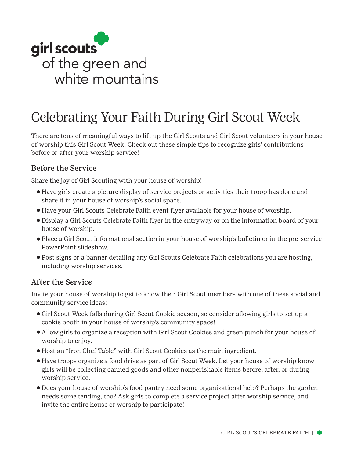

## Celebrating Your Faith During Girl Scout Week

There are tons of meaningful ways to lift up the Girl Scouts and Girl Scout volunteers in your house of worship this Girl Scout Week. Check out these simple tips to recognize girls' contributions before or after your worship service!

## Before the Service

Share the joy of Girl Scouting with your house of worship!

- ⚬ Have girls create a picture display of service projects or activities their troop has done and share it in your house of worship's social space.
- ⚬ Have your Girl Scouts Celebrate Faith event flyer available for your house of worship.
- ⚬ Display a Girl Scouts Celebrate Faith flyer in the entryway or on the information board of your house of worship.
- ⚬ Place a Girl Scout informational section in your house of worship's bulletin or in the pre-service PowerPoint slideshow.
- ⚬ Post signs or a banner detailing any Girl Scouts Celebrate Faith celebrations you are hosting, including worship services.

## After the Service

Invite your house of worship to get to know their Girl Scout members with one of these social and community service ideas:

- ⚬ Girl Scout Week falls during Girl Scout Cookie season, so consider allowing girls to set up a cookie booth in your house of worship's community space!
- ⚬ Allow girls to organize a reception with Girl Scout Cookies and green punch for your house of worship to enjoy.
- ⚬ Host an "Iron Chef Table" with Girl Scout Cookies as the main ingredient.
- ⚬ Have troops organize a food drive as part of Girl Scout Week. Let your house of worship know girls will be collecting canned goods and other nonperishable items before, after, or during worship service.
- ⚬ Does your house of worship's food pantry need some organizational help? Perhaps the garden needs some tending, too? Ask girls to complete a service project after worship service, and invite the entire house of worship to participate!